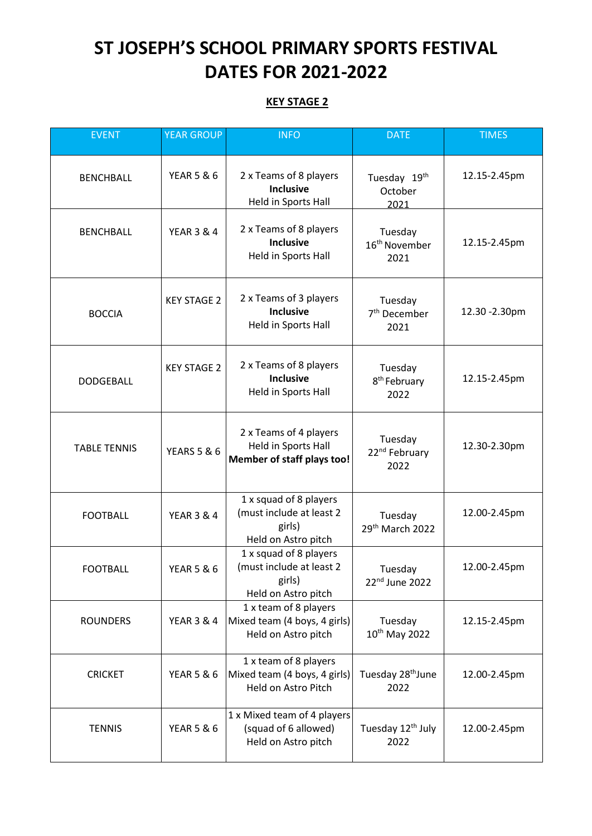## **ST JOSEPH'S SCHOOL PRIMARY SPORTS FESTIVAL DATES FOR 2021-2022**

## **KEY STAGE 2**

| <b>EVENT</b>        | <b>YEAR GROUP</b>      | <b>INFO</b>                                                                         | <b>DATE</b>                                  | <b>TIMES</b>   |
|---------------------|------------------------|-------------------------------------------------------------------------------------|----------------------------------------------|----------------|
| <b>BENCHBALL</b>    | <b>YEAR 5 &amp; 6</b>  | 2 x Teams of 8 players<br><b>Inclusive</b><br>Held in Sports Hall                   | Tuesday 19th<br>October<br>2021              | 12.15-2.45pm   |
| <b>BENCHBALL</b>    | <b>YEAR 3 &amp; 4</b>  | 2 x Teams of 8 players<br><b>Inclusive</b><br>Held in Sports Hall                   | Tuesday<br>16 <sup>th</sup> November<br>2021 | 12.15-2.45pm   |
| <b>BOCCIA</b>       | <b>KEY STAGE 2</b>     | 2 x Teams of 3 players<br><b>Inclusive</b><br>Held in Sports Hall                   | Tuesday<br>7 <sup>th</sup> December<br>2021  | 12.30 - 2.30pm |
| <b>DODGEBALL</b>    | <b>KEY STAGE 2</b>     | 2 x Teams of 8 players<br><b>Inclusive</b><br>Held in Sports Hall                   | Tuesday<br>8 <sup>th</sup> February<br>2022  | 12.15-2.45pm   |
| <b>TABLE TENNIS</b> | <b>YEARS 5 &amp; 6</b> | 2 x Teams of 4 players<br>Held in Sports Hall<br>Member of staff plays too!         | Tuesday<br>22 <sup>nd</sup> February<br>2022 | 12.30-2.30pm   |
| <b>FOOTBALL</b>     | <b>YEAR 3 &amp; 4</b>  | 1 x squad of 8 players<br>(must include at least 2<br>girls)<br>Held on Astro pitch | Tuesday<br>29 <sup>th</sup> March 2022       | 12.00-2.45pm   |
| <b>FOOTBALL</b>     | <b>YEAR 5 &amp; 6</b>  | 1 x squad of 8 players<br>(must include at least 2<br>girls)<br>Held on Astro pitch | Tuesday<br>22 <sup>nd</sup> June 2022        | 12.00-2.45pm   |
| <b>ROUNDERS</b>     | <b>YEAR 3 &amp; 4</b>  | 1 x team of 8 players<br>Mixed team (4 boys, 4 girls)<br>Held on Astro pitch        | Tuesday<br>10 <sup>th</sup> May 2022         | 12.15-2.45pm   |
| <b>CRICKET</b>      | <b>YEAR 5 &amp; 6</b>  | 1 x team of 8 players<br>Mixed team (4 boys, 4 girls)<br>Held on Astro Pitch        | Tuesday 28 <sup>th</sup> June<br>2022        | 12.00-2.45pm   |
| <b>TENNIS</b>       | <b>YEAR 5 &amp; 6</b>  | 1 x Mixed team of 4 players<br>(squad of 6 allowed)<br>Held on Astro pitch          | Tuesday 12 <sup>th</sup> July<br>2022        | 12.00-2.45pm   |